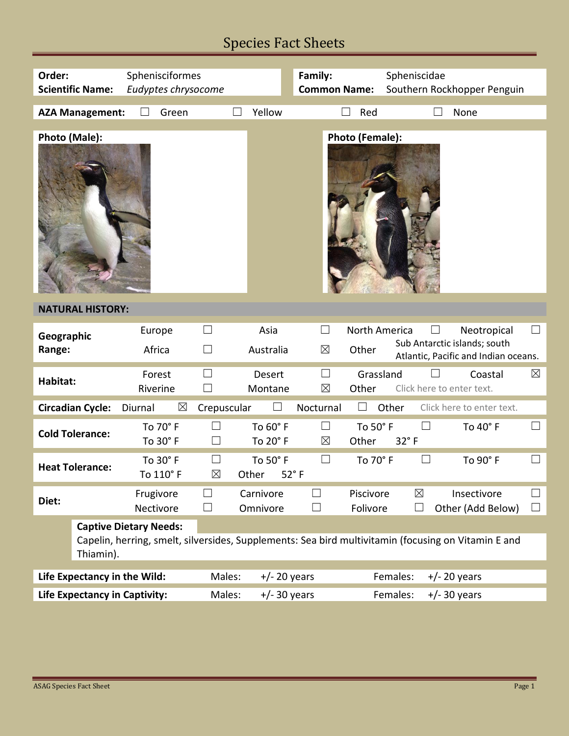## Species Fact Sheets

| Order:<br>Sphenisciformes<br>Eudyptes chrysocome<br><b>Scientific Name:</b>                                         |                                                                                                                                                   |                        |                          | Family:<br><b>Common Name:</b> |                                   | Spheniscidae<br>Southern Rockhopper Penguin |                            |                                                                                     |                                            |  |  |
|---------------------------------------------------------------------------------------------------------------------|---------------------------------------------------------------------------------------------------------------------------------------------------|------------------------|--------------------------|--------------------------------|-----------------------------------|---------------------------------------------|----------------------------|-------------------------------------------------------------------------------------|--------------------------------------------|--|--|
|                                                                                                                     | <b>AZA Management:</b>                                                                                                                            | Green                  |                          | Yellow                         |                                   | Red                                         |                            | None                                                                                |                                            |  |  |
| Photo (Male):                                                                                                       |                                                                                                                                                   |                        |                          |                                |                                   | Photo (Female):                             |                            |                                                                                     |                                            |  |  |
| <b>NATURAL HISTORY:</b>                                                                                             |                                                                                                                                                   |                        |                          |                                |                                   |                                             |                            |                                                                                     |                                            |  |  |
| Geographic<br>Range:                                                                                                |                                                                                                                                                   | Europe<br>Africa       | ш<br>ப                   | Asia<br>Australia              | $\boxtimes$                       | North America<br>Other                      |                            | Neotropical<br>Sub Antarctic islands; south<br>Atlantic, Pacific and Indian oceans. |                                            |  |  |
| Habitat:                                                                                                            |                                                                                                                                                   | Forest<br>Riverine     | Ш                        | Desert<br>Montane              | $\boxtimes$                       | Grassland<br>Other                          |                            | Coastal<br>Click here to enter text.                                                | $\boxtimes$                                |  |  |
| <b>Circadian Cycle:</b><br>$\boxtimes$<br>Other<br>Click here to enter text.<br>Diurnal<br>Crepuscular<br>Nocturnal |                                                                                                                                                   |                        |                          |                                |                                   |                                             |                            |                                                                                     |                                            |  |  |
| <b>Cold Tolerance:</b>                                                                                              |                                                                                                                                                   | To 70° F<br>To 30° F   | $\Box$                   | To 60° F<br>To 20° F           | $\Box$<br>$\boxtimes$             | To 50° F<br>32°F<br>Other                   | $\vert \ \ \vert$          | To 40° F                                                                            |                                            |  |  |
| <b>Heat Tolerance:</b>                                                                                              |                                                                                                                                                   | To 30° F<br>To 110° F  | $\boxtimes$              | To 50° F<br>Other              | $\vert \ \ \vert$<br>$52^\circ$ F | To 70° F                                    |                            | To 90° F                                                                            |                                            |  |  |
| Diet:                                                                                                               |                                                                                                                                                   | Frugivore<br>Nectivore | $\Box$<br>$\Box$         | Carnivore<br>Omnivore          | $\mathcal{L}$<br>$\mathcal{L}$    | Piscivore<br>Folivore                       | $\boxtimes$<br>$\Box$      | Insectivore<br>Other (Add Below)                                                    | $\overline{\phantom{a}}$<br>$\blacksquare$ |  |  |
|                                                                                                                     | <b>Captive Dietary Needs:</b><br>Capelin, herring, smelt, silversides, Supplements: Sea bird multivitamin (focusing on Vitamin E and<br>Thiamin). |                        |                          |                                |                                   |                                             |                            |                                                                                     |                                            |  |  |
|                                                                                                                     | Life Expectancy in the Wild:                                                                                                                      |                        | Males:                   | $+/- 20$ years                 |                                   |                                             | Females:<br>$+/- 20$ years |                                                                                     |                                            |  |  |
| Life Expectancy in Captivity:                                                                                       |                                                                                                                                                   |                        | Males:<br>$+/- 30$ years |                                |                                   | Females:<br>$+/- 30$ years                  |                            |                                                                                     |                                            |  |  |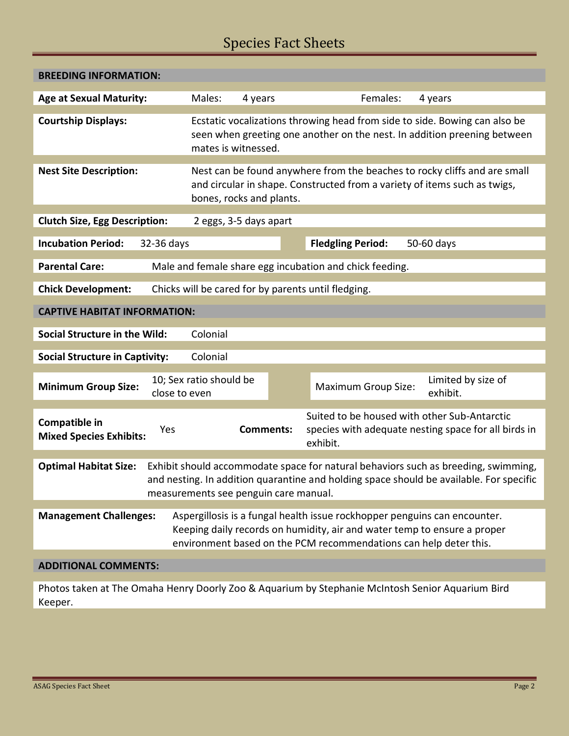## Species Fact Sheets

| <b>BREEDING INFORMATION:</b>                                                                                                                                                                                                                           |                                                                                                                                                                                                                            |         |                                                                                                                  |                                |  |  |  |  |  |  |
|--------------------------------------------------------------------------------------------------------------------------------------------------------------------------------------------------------------------------------------------------------|----------------------------------------------------------------------------------------------------------------------------------------------------------------------------------------------------------------------------|---------|------------------------------------------------------------------------------------------------------------------|--------------------------------|--|--|--|--|--|--|
| <b>Age at Sexual Maturity:</b>                                                                                                                                                                                                                         | Males:                                                                                                                                                                                                                     | 4 years | Females:                                                                                                         | 4 years                        |  |  |  |  |  |  |
| <b>Courtship Displays:</b>                                                                                                                                                                                                                             | Ecstatic vocalizations throwing head from side to side. Bowing can also be<br>seen when greeting one another on the nest. In addition preening between<br>mates is witnessed.                                              |         |                                                                                                                  |                                |  |  |  |  |  |  |
| <b>Nest Site Description:</b>                                                                                                                                                                                                                          | Nest can be found anywhere from the beaches to rocky cliffs and are small<br>and circular in shape. Constructed from a variety of items such as twigs,<br>bones, rocks and plants.                                         |         |                                                                                                                  |                                |  |  |  |  |  |  |
| <b>Clutch Size, Egg Description:</b>                                                                                                                                                                                                                   | 2 eggs, 3-5 days apart                                                                                                                                                                                                     |         |                                                                                                                  |                                |  |  |  |  |  |  |
| <b>Incubation Period:</b><br>32-36 days                                                                                                                                                                                                                |                                                                                                                                                                                                                            |         | <b>Fledgling Period:</b>                                                                                         | 50-60 days                     |  |  |  |  |  |  |
| <b>Parental Care:</b>                                                                                                                                                                                                                                  | Male and female share egg incubation and chick feeding.                                                                                                                                                                    |         |                                                                                                                  |                                |  |  |  |  |  |  |
| <b>Chick Development:</b><br>Chicks will be cared for by parents until fledging.                                                                                                                                                                       |                                                                                                                                                                                                                            |         |                                                                                                                  |                                |  |  |  |  |  |  |
| <b>CAPTIVE HABITAT INFORMATION:</b>                                                                                                                                                                                                                    |                                                                                                                                                                                                                            |         |                                                                                                                  |                                |  |  |  |  |  |  |
| <b>Social Structure in the Wild:</b><br>Colonial                                                                                                                                                                                                       |                                                                                                                                                                                                                            |         |                                                                                                                  |                                |  |  |  |  |  |  |
| <b>Social Structure in Captivity:</b><br>Colonial                                                                                                                                                                                                      |                                                                                                                                                                                                                            |         |                                                                                                                  |                                |  |  |  |  |  |  |
| <b>Minimum Group Size:</b>                                                                                                                                                                                                                             | 10; Sex ratio should be<br>close to even                                                                                                                                                                                   |         | <b>Maximum Group Size:</b>                                                                                       | Limited by size of<br>exhibit. |  |  |  |  |  |  |
| Compatible in<br>Yes<br><b>Mixed Species Exhibits:</b>                                                                                                                                                                                                 | <b>Comments:</b>                                                                                                                                                                                                           |         | Suited to be housed with other Sub-Antarctic<br>species with adequate nesting space for all birds in<br>exhibit. |                                |  |  |  |  |  |  |
| Exhibit should accommodate space for natural behaviors such as breeding, swimming,<br><b>Optimal Habitat Size:</b><br>and nesting. In addition quarantine and holding space should be available. For specific<br>measurements see penguin care manual. |                                                                                                                                                                                                                            |         |                                                                                                                  |                                |  |  |  |  |  |  |
| <b>Management Challenges:</b>                                                                                                                                                                                                                          | Aspergillosis is a fungal health issue rockhopper penguins can encounter.<br>Keeping daily records on humidity, air and water temp to ensure a proper<br>environment based on the PCM recommendations can help deter this. |         |                                                                                                                  |                                |  |  |  |  |  |  |
| <b>ADDITIONAL COMMENTS:</b>                                                                                                                                                                                                                            |                                                                                                                                                                                                                            |         |                                                                                                                  |                                |  |  |  |  |  |  |

Photos taken at The Omaha Henry Doorly Zoo & Aquarium by Stephanie McIntosh Senior Aquarium Bird Keeper.